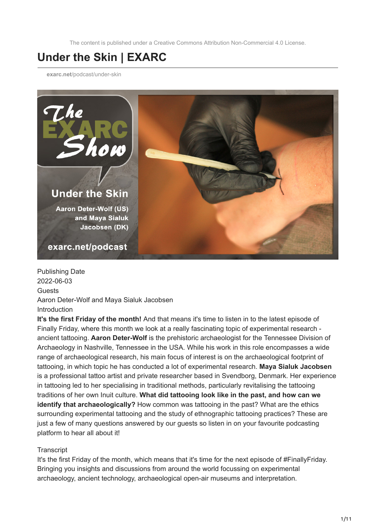The content is published under a Creative Commons Attribution Non-Commercial 4.0 License.

## **Under the Skin | EXARC**

**exarc.net**[/podcast/under-skin](https://exarc.net/podcast/under-skin)



Publishing Date 2022-06-03 Guests Aaron Deter-Wolf and Maya Sialuk Jacobsen Introduction

**It's the first Friday of the month!** And that means it's time to listen in to the latest episode of Finally Friday, where this month we look at a really fascinating topic of experimental research ancient tattooing. **Aaron Deter-Wolf** is the prehistoric archaeologist for the Tennessee Division of Archaeology in Nashville, Tennessee in the USA. While his work in this role encompasses a wide range of archaeological research, his main focus of interest is on the archaeological footprint of tattooing, in which topic he has conducted a lot of experimental research. **Maya Sialuk Jacobsen** is a professional tattoo artist and private researcher based in Svendborg, Denmark. Her experience in tattooing led to her specialising in traditional methods, particularly revitalising the tattooing traditions of her own Inuit culture. **What did tattooing look like in the past, and how can we identify that archaeologically?** How common was tattooing in the past? What are the ethics surrounding experimental tattooing and the study of ethnographic tattooing practices? These are just a few of many questions answered by our guests so listen in on your favourite podcasting platform to hear all about it!

## **Transcript**

It's the first Friday of the month, which means that it's time for the next episode of #FinallyFriday. Bringing you insights and discussions from around the world focussing on experimental archaeology, ancient technology, archaeological open-air museums and interpretation.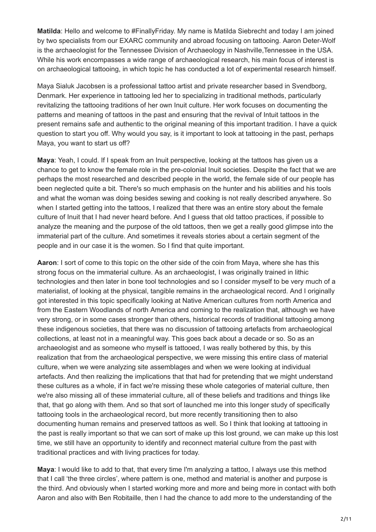**Matilda**: Hello and welcome to #FinallyFriday. My name is Matilda Siebrecht and today I am joined by two specialists from our EXARC community and abroad focusing on tattooing. Aaron Deter-Wolf is the archaeologist for the Tennessee Division of Archaeology in Nashville,Tennessee in the USA. While his work encompasses a wide range of archaeological research, his main focus of interest is on archaeological tattooing, in which topic he has conducted a lot of experimental research himself.

Maya Sialuk Jacobsen is a professional tattoo artist and private researcher based in Svendborg, Denmark. Her experience in tattooing led her to specializing in traditional methods, particularly revitalizing the tattooing traditions of her own Inuit culture. Her work focuses on documenting the patterns and meaning of tattoos in the past and ensuring that the revival of Intuit tattoos in the present remains safe and authentic to the original meaning of this important tradition. I have a quick question to start you off. Why would you say, is it important to look at tattooing in the past, perhaps Maya, you want to start us off?

**Maya**: Yeah, I could. If I speak from an Inuit perspective, looking at the tattoos has given us a chance to get to know the female role in the pre-colonial Inuit societies. Despite the fact that we are perhaps the most researched and described people in the world, the female side of our people has been neglected quite a bit. There's so much emphasis on the hunter and his abilities and his tools and what the woman was doing besides sewing and cooking is not really described anywhere. So when I started getting into the tattoos, I realized that there was an entire story about the female culture of Inuit that I had never heard before. And I guess that old tattoo practices, if possible to analyze the meaning and the purpose of the old tattoos, then we get a really good glimpse into the immaterial part of the culture. And sometimes it reveals stories about a certain segment of the people and in our case it is the women. So I find that quite important.

**Aaron**: I sort of come to this topic on the other side of the coin from Maya, where she has this strong focus on the immaterial culture. As an archaeologist, I was originally trained in lithic technologies and then later in bone tool technologies and so I consider myself to be very much of a materialist, of looking at the physical, tangible remains in the archaeological record. And I originally got interested in this topic specifically looking at Native American cultures from north America and from the Eastern Woodlands of north America and coming to the realization that, although we have very strong, or in some cases stronger than others, historical records of traditional tattooing among these indigenous societies, that there was no discussion of tattooing artefacts from archaeological collections, at least not in a meaningful way. This goes back about a decade or so. So as an archaeologist and as someone who myself is tattooed, I was really bothered by this, by this realization that from the archaeological perspective, we were missing this entire class of material culture, when we were analyzing site assemblages and when we were looking at individual artefacts. And then realizing the implications that that had for pretending that we might understand these cultures as a whole, if in fact we're missing these whole categories of material culture, then we're also missing all of these immaterial culture, all of these beliefs and traditions and things like that, that go along with them. And so that sort of launched me into this longer study of specifically tattooing tools in the archaeological record, but more recently transitioning then to also documenting human remains and preserved tattoos as well. So I think that looking at tattooing in the past is really important so that we can sort of make up this lost ground, we can make up this lost time, we still have an opportunity to identify and reconnect material culture from the past with traditional practices and with living practices for today.

**Maya**: I would like to add to that, that every time I'm analyzing a tattoo, I always use this method that I call 'the three circles', where pattern is one, method and material is another and purpose is the third. And obviously when I started working more and more and being more in contact with both Aaron and also with Ben Robitaille, then I had the chance to add more to the understanding of the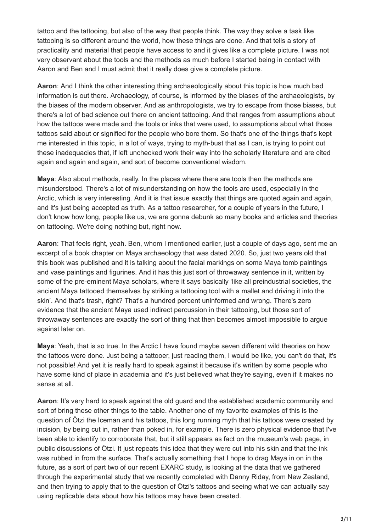tattoo and the tattooing, but also of the way that people think. The way they solve a task like tattooing is so different around the world, how these things are done. And that tells a story of practicality and material that people have access to and it gives like a complete picture. I was not very observant about the tools and the methods as much before I started being in contact with Aaron and Ben and I must admit that it really does give a complete picture.

**Aaron**: And I think the other interesting thing archaeologically about this topic is how much bad information is out there. Archaeology, of course, is informed by the biases of the archaeologists, by the biases of the modern observer. And as anthropologists, we try to escape from those biases, but there's a lot of bad science out there on ancient tattooing. And that ranges from assumptions about how the tattoos were made and the tools or inks that were used, to assumptions about what those tattoos said about or signified for the people who bore them. So that's one of the things that's kept me interested in this topic, in a lot of ways, trying to myth-bust that as I can, is trying to point out these inadequacies that, if left unchecked work their way into the scholarly literature and are cited again and again and again, and sort of become conventional wisdom.

**Maya**: Also about methods, really. In the places where there are tools then the methods are misunderstood. There's a lot of misunderstanding on how the tools are used, especially in the Arctic, which is very interesting. And it is that issue exactly that things are quoted again and again, and it's just being accepted as truth. As a tattoo researcher, for a couple of years in the future, I don't know how long, people like us, we are gonna debunk so many books and articles and theories on tattooing. We're doing nothing but, right now.

**Aaron**: That feels right, yeah. Ben, whom I mentioned earlier, just a couple of days ago, sent me an excerpt of a book chapter on Maya archaeology that was dated 2020. So, just two years old that this book was published and it is talking about the facial markings on some Maya tomb paintings and vase paintings and figurines. And it has this just sort of throwaway sentence in it, written by some of the pre-eminent Maya scholars, where it says basically 'like all preindustrial societies, the ancient Maya tattooed themselves by striking a tattooing tool with a mallet and driving it into the skin'. And that's trash, right? That's a hundred percent uninformed and wrong. There's zero evidence that the ancient Maya used indirect percussion in their tattooing, but those sort of throwaway sentences are exactly the sort of thing that then becomes almost impossible to argue against later on.

**Maya**: Yeah, that is so true. In the Arctic I have found maybe seven different wild theories on how the tattoos were done. Just being a tattooer, just reading them, I would be like, you can't do that, it's not possible! And yet it is really hard to speak against it because it's written by some people who have some kind of place in academia and it's just believed what they're saying, even if it makes no sense at all.

**Aaron**: It's very hard to speak against the old guard and the established academic community and sort of bring these other things to the table. Another one of my favorite examples of this is the question of Ötzi the Iceman and his tattoos, this long running myth that his tattoos were created by incision, by being cut in, rather than poked in, for example. There is zero physical evidence that I've been able to identify to corroborate that, but it still appears as fact on the museum's web page, in public discussions of Ötzi. It just repeats this idea that they were cut into his skin and that the ink was rubbed in from the surface. That's actually something that I hope to drag Maya in on in the future, as a sort of part two of our recent EXARC study, is looking at the data that we gathered through the experimental study that we recently completed with Danny Riday, from New Zealand, and then trying to apply that to the question of Ötzi's tattoos and seeing what we can actually say using replicable data about how his tattoos may have been created.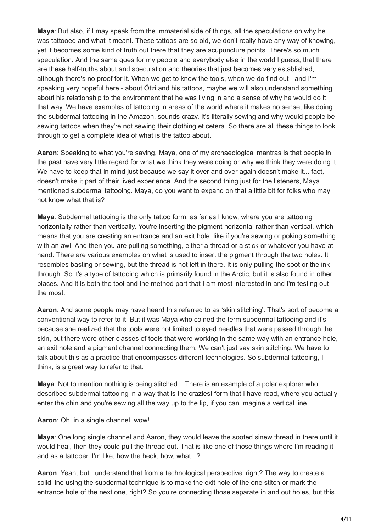**Maya**: But also, if I may speak from the immaterial side of things, all the speculations on why he was tattooed and what it meant. These tattoos are so old, we don't really have any way of knowing, yet it becomes some kind of truth out there that they are acupuncture points. There's so much speculation. And the same goes for my people and everybody else in the world I guess, that there are these half-truths about and speculation and theories that just becomes very established, although there's no proof for it. When we get to know the tools, when we do find out - and I'm speaking very hopeful here - about Ötzi and his tattoos, maybe we will also understand something about his relationship to the environment that he was living in and a sense of why he would do it that way. We have examples of tattooing in areas of the world where it makes no sense, like doing the subdermal tattooing in the Amazon, sounds crazy. It's literally sewing and why would people be sewing tattoos when they're not sewing their clothing et cetera. So there are all these things to look through to get a complete idea of what is the tattoo about.

**Aaron**: Speaking to what you're saying, Maya, one of my archaeological mantras is that people in the past have very little regard for what we think they were doing or why we think they were doing it. We have to keep that in mind just because we say it over and over again doesn't make it... fact. doesn't make it part of their lived experience. And the second thing just for the listeners, Maya mentioned subdermal tattooing. Maya, do you want to expand on that a little bit for folks who may not know what that is?

**Maya**: Subdermal tattooing is the only tattoo form, as far as I know, where you are tattooing horizontally rather than vertically. You're inserting the pigment horizontal rather than vertical, which means that you are creating an entrance and an exit hole, like if you're sewing or poking something with an awl. And then you are pulling something, either a thread or a stick or whatever you have at hand. There are various examples on what is used to insert the pigment through the two holes. It resembles basting or sewing, but the thread is not left in there. It is only pulling the soot or the ink through. So it's a type of tattooing which is primarily found in the Arctic, but it is also found in other places. And it is both the tool and the method part that I am most interested in and I'm testing out the most.

**Aaron**: And some people may have heard this referred to as 'skin stitching'. That's sort of become a conventional way to refer to it. But it was Maya who coined the term subdermal tattooing and it's because she realized that the tools were not limited to eyed needles that were passed through the skin, but there were other classes of tools that were working in the same way with an entrance hole, an exit hole and a pigment channel connecting them. We can't just say skin stitching. We have to talk about this as a practice that encompasses different technologies. So subdermal tattooing, I think, is a great way to refer to that.

**Maya**: Not to mention nothing is being stitched... There is an example of a polar explorer who described subdermal tattooing in a way that is the craziest form that I have read, where you actually enter the chin and you're sewing all the way up to the lip, if you can imagine a vertical line...

**Aaron**: Oh, in a single channel, wow!

**Maya**: One long single channel and Aaron, they would leave the sooted sinew thread in there until it would heal, then they could pull the thread out. That is like one of those things where I'm reading it and as a tattooer, I'm like, how the heck, how, what...?

**Aaron**: Yeah, but I understand that from a technological perspective, right? The way to create a solid line using the subdermal technique is to make the exit hole of the one stitch or mark the entrance hole of the next one, right? So you're connecting those separate in and out holes, but this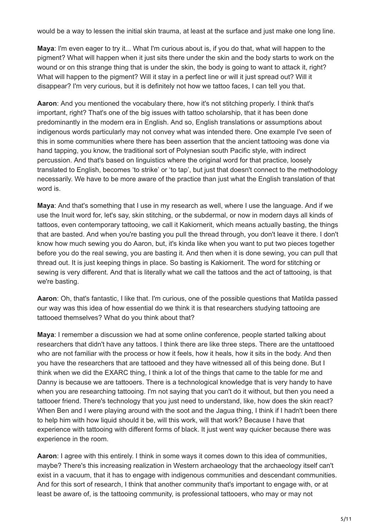would be a way to lessen the initial skin trauma, at least at the surface and just make one long line.

**Maya**: I'm even eager to try it... What I'm curious about is, if you do that, what will happen to the pigment? What will happen when it just sits there under the skin and the body starts to work on the wound or on this strange thing that is under the skin, the body is going to want to attack it, right? What will happen to the pigment? Will it stay in a perfect line or will it just spread out? Will it disappear? I'm very curious, but it is definitely not how we tattoo faces, I can tell you that.

**Aaron**: And you mentioned the vocabulary there, how it's not stitching properly. I think that's important, right? That's one of the big issues with tattoo scholarship, that it has been done predominantly in the modern era in English. And so, English translations or assumptions about indigenous words particularly may not convey what was intended there. One example I've seen of this in some communities where there has been assertion that the ancient tattooing was done via hand tapping, you know, the traditional sort of Polynesian south Pacific style, with indirect percussion. And that's based on linguistics where the original word for that practice, loosely translated to English, becomes 'to strike' or 'to tap', but just that doesn't connect to the methodology necessarily. We have to be more aware of the practice than just what the English translation of that word is.

**Maya**: And that's something that I use in my research as well, where I use the language. And if we use the Inuit word for, let's say, skin stitching, or the subdermal, or now in modern days all kinds of tattoos, even contemporary tattooing, we call it Kakiornerit, which means actually basting, the things that are basted. And when you're basting you pull the thread through, you don't leave it there. I don't know how much sewing you do Aaron, but, it's kinda like when you want to put two pieces together before you do the real sewing, you are basting it. And then when it is done sewing, you can pull that thread out. It is just keeping things in place. So basting is Kakiornerit. The word for stitching or sewing is very different. And that is literally what we call the tattoos and the act of tattooing, is that we're basting.

**Aaron**: Oh, that's fantastic, I like that. I'm curious, one of the possible questions that Matilda passed our way was this idea of how essential do we think it is that researchers studying tattooing are tattooed themselves? What do you think about that?

**Maya**: I remember a discussion we had at some online conference, people started talking about researchers that didn't have any tattoos. I think there are like three steps. There are the untattooed who are not familiar with the process or how it feels, how it heals, how it sits in the body. And then you have the researchers that are tattooed and they have witnessed all of this being done. But I think when we did the EXARC thing, I think a lot of the things that came to the table for me and Danny is because we are tattooers. There is a technological knowledge that is very handy to have when you are researching tattooing. I'm not saying that you can't do it without, but then you need a tattooer friend. There's technology that you just need to understand, like, how does the skin react? When Ben and I were playing around with the soot and the Jagua thing, I think if I hadn't been there to help him with how liquid should it be, will this work, will that work? Because I have that experience with tattooing with different forms of black. It just went way quicker because there was experience in the room.

**Aaron**: I agree with this entirely. I think in some ways it comes down to this idea of communities, maybe? There's this increasing realization in Western archaeology that the archaeology itself can't exist in a vacuum, that it has to engage with indigenous communities and descendant communities. And for this sort of research, I think that another community that's important to engage with, or at least be aware of, is the tattooing community, is professional tattooers, who may or may not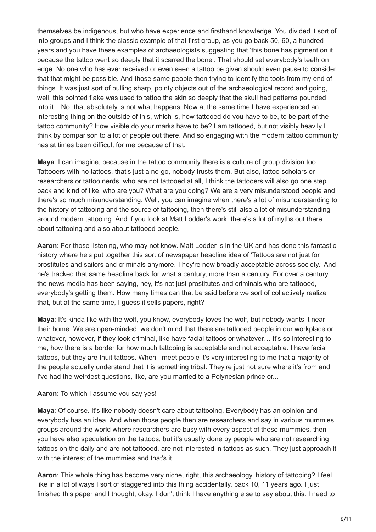themselves be indigenous, but who have experience and firsthand knowledge. You divided it sort of into groups and I think the classic example of that first group, as you go back 50, 60, a hundred years and you have these examples of archaeologists suggesting that 'this bone has pigment on it because the tattoo went so deeply that it scarred the bone'. That should set everybody's teeth on edge. No one who has ever received or even seen a tattoo be given should even pause to consider that that might be possible. And those same people then trying to identify the tools from my end of things. It was just sort of pulling sharp, pointy objects out of the archaeological record and going, well, this pointed flake was used to tattoo the skin so deeply that the skull had patterns pounded into it... No, that absolutely is not what happens. Now at the same time I have experienced an interesting thing on the outside of this, which is, how tattooed do you have to be, to be part of the tattoo community? How visible do your marks have to be? I am tattooed, but not visibly heavily I think by comparison to a lot of people out there. And so engaging with the modern tattoo community has at times been difficult for me because of that.

**Maya**: I can imagine, because in the tattoo community there is a culture of group division too. Tattooers with no tattoos, that's just a no-go, nobody trusts them. But also, tattoo scholars or researchers or tattoo nerds, who are not tattooed at all, I think the tattooers will also go one step back and kind of like, who are you? What are you doing? We are a very misunderstood people and there's so much misunderstanding. Well, you can imagine when there's a lot of misunderstanding to the history of tattooing and the source of tattooing, then there's still also a lot of misunderstanding around modern tattooing. And if you look at Matt Lodder's work, there's a lot of myths out there about tattooing and also about tattooed people.

**Aaron**: For those listening, who may not know. Matt Lodder is in the UK and has done this fantastic history where he's put together this sort of newspaper headline idea of 'Tattoos are not just for prostitutes and sailors and criminals anymore. They're now broadly acceptable across society.' And he's tracked that same headline back for what a century, more than a century. For over a century, the news media has been saying, hey, it's not just prostitutes and criminals who are tattooed, everybody's getting them. How many times can that be said before we sort of collectively realize that, but at the same time, I guess it sells papers, right?

**Maya**: It's kinda like with the wolf, you know, everybody loves the wolf, but nobody wants it near their home. We are open-minded, we don't mind that there are tattooed people in our workplace or whatever, however, if they look criminal, like have facial tattoos or whatever… It's so interesting to me, how there is a border for how much tattooing is acceptable and not acceptable. I have facial tattoos, but they are Inuit tattoos. When I meet people it's very interesting to me that a majority of the people actually understand that it is something tribal. They're just not sure where it's from and I've had the weirdest questions, like, are you married to a Polynesian prince or...

## **Aaron**: To which I assume you say yes!

**Maya**: Of course. It's like nobody doesn't care about tattooing. Everybody has an opinion and everybody has an idea. And when those people then are researchers and say in various mummies groups around the world where researchers are busy with every aspect of these mummies, then you have also speculation on the tattoos, but it's usually done by people who are not researching tattoos on the daily and are not tattooed, are not interested in tattoos as such. They just approach it with the interest of the mummies and that's it.

**Aaron**: This whole thing has become very niche, right, this archaeology, history of tattooing? I feel like in a lot of ways I sort of staggered into this thing accidentally, back 10, 11 years ago. I just finished this paper and I thought, okay, I don't think I have anything else to say about this. I need to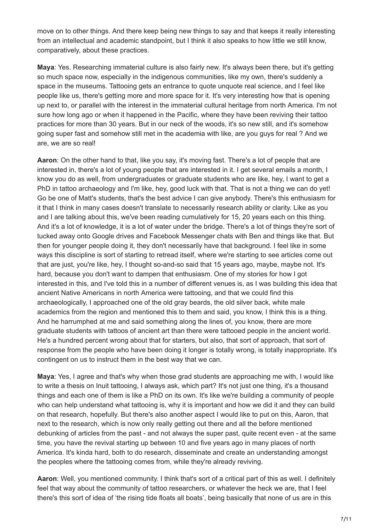move on to other things. And there keep being new things to say and that keeps it really interesting from an intellectual and academic standpoint, but I think it also speaks to how little we still know, comparatively, about these practices.

**Maya**: Yes. Researching immaterial culture is also fairly new. It's always been there, but it's getting so much space now, especially in the indigenous communities, like my own, there's suddenly a space in the museums. Tattooing gets an entrance to quote unquote real science, and I feel like people like us, there's getting more and more space for it. It's very interesting how that is opening up next to, or parallel with the interest in the immaterial cultural heritage from north America. I'm not sure how long ago or when it happened in the Pacific, where they have been reviving their tattoo practices for more than 30 years. But in our neck of the woods, it's so new still, and it's somehow going super fast and somehow still met in the academia with like, are you guys for real ? And we are, we are so real!

**Aaron**: On the other hand to that, like you say, it's moving fast. There's a lot of people that are interested in, there's a lot of young people that are interested in it. I get several emails a month, I know you do as well, from undergraduates or graduate students who are like, hey, I want to get a PhD in tattoo archaeology and I'm like, hey, good luck with that. That is not a thing we can do vet! Go be one of Matt's students, that's the best advice I can give anybody. There's this enthusiasm for it that I think in many cases doesn't translate to necessarily research ability or clarity. Like as you and I are talking about this, we've been reading cumulatively for 15, 20 years each on this thing. And it's a lot of knowledge, it is a lot of water under the bridge. There's a lot of things they're sort of tucked away onto Google drives and Facebook Messenger chats with Ben and things like that. But then for younger people doing it, they don't necessarily have that background. I feel like in some ways this discipline is sort of starting to retread itself, where we're starting to see articles come out that are just, you're like, hey, I thought so-and-so said that 15 years ago, maybe, maybe not. It's hard, because you don't want to dampen that enthusiasm. One of my stories for how I got interested in this, and I've told this in a number of different venues is, as I was building this idea that ancient Native Americans in north America were tattooing, and that we could find this archaeologically, I approached one of the old gray beards, the old silver back, white male academics from the region and mentioned this to them and said, you know, I think this is a thing. And he harrumphed at me and said something along the lines of, you know, there are more graduate students with tattoos of ancient art than there were tattooed people in the ancient world. He's a hundred percent wrong about that for starters, but also, that sort of approach, that sort of response from the people who have been doing it longer is totally wrong, is totally inappropriate. It's contingent on us to instruct them in the best way that we can.

**Maya**: Yes, I agree and that's why when those grad students are approaching me with, I would like to write a thesis on Inuit tattooing, I always ask, which part? It's not just one thing, it's a thousand things and each one of them is like a PhD on its own. It's like we're building a community of people who can help understand what tattooing is, why it is important and how we did it and they can build on that research, hopefully. But there's also another aspect I would like to put on this, Aaron, that next to the research, which is now only really getting out there and all the before mentioned debunking of articles from the past - and not always the super past, quite recent even - at the same time, you have the revival starting up between 10 and five years ago in many places of north America. It's kinda hard, both to do research, disseminate and create an understanding amongst the peoples where the tattooing comes from, while they're already reviving.

**Aaron**: Well, you mentioned community. I think that's sort of a critical part of this as well. I definitely feel that way about the community of tattoo researchers, or whatever the heck we are, that I feel there's this sort of idea of 'the rising tide floats all boats', being basically that none of us are in this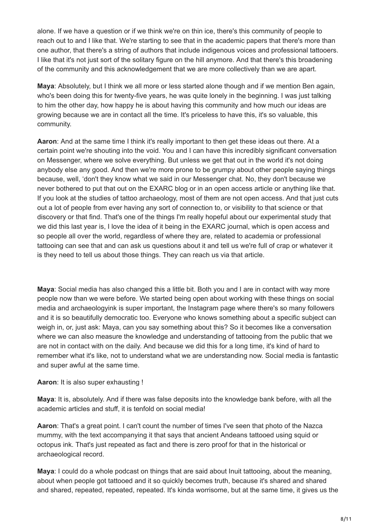alone. If we have a question or if we think we're on thin ice, there's this community of people to reach out to and I like that. We're starting to see that in the academic papers that there's more than one author, that there's a string of authors that include indigenous voices and professional tattooers. I like that it's not just sort of the solitary figure on the hill anymore. And that there's this broadening of the community and this acknowledgement that we are more collectively than we are apart.

**Maya**: Absolutely, but I think we all more or less started alone though and if we mention Ben again, who's been doing this for twenty-five years, he was quite lonely in the beginning. I was just talking to him the other day, how happy he is about having this community and how much our ideas are growing because we are in contact all the time. It's priceless to have this, it's so valuable, this community.

**Aaron**: And at the same time I think it's really important to then get these ideas out there. At a certain point we're shouting into the void. You and I can have this incredibly significant conversation on Messenger, where we solve everything. But unless we get that out in the world it's not doing anybody else any good. And then we're more prone to be grumpy about other people saying things because, well, 'don't they know what we said in our Messenger chat. No, they don't because we never bothered to put that out on the EXARC blog or in an open access article or anything like that. If you look at the studies of tattoo archaeology, most of them are not open access. And that just cuts out a lot of people from ever having any sort of connection to, or visibility to that science or that discovery or that find. That's one of the things I'm really hopeful about our experimental study that we did this last year is, I love the idea of it being in the EXARC journal, which is open access and so people all over the world, regardless of where they are, related to academia or professional tattooing can see that and can ask us questions about it and tell us we're full of crap or whatever it is they need to tell us about those things. They can reach us via that article.

**Maya**: Social media has also changed this a little bit. Both you and I are in contact with way more people now than we were before. We started being open about working with these things on social media and archaeologyink is super important, the Instagram page where there's so many followers and it is so beautifully democratic too. Everyone who knows something about a specific subject can weigh in, or, just ask: Maya, can you say something about this? So it becomes like a conversation where we can also measure the knowledge and understanding of tattooing from the public that we are not in contact with on the daily. And because we did this for a long time, it's kind of hard to remember what it's like, not to understand what we are understanding now. Social media is fantastic and super awful at the same time.

**Aaron**: It is also super exhausting !

**Maya**: It is, absolutely. And if there was false deposits into the knowledge bank before, with all the academic articles and stuff, it is tenfold on social media!

**Aaron**: That's a great point. I can't count the number of times I've seen that photo of the Nazca mummy, with the text accompanying it that says that ancient Andeans tattooed using squid or octopus ink. That's just repeated as fact and there is zero proof for that in the historical or archaeological record.

**Maya**: I could do a whole podcast on things that are said about Inuit tattooing, about the meaning, about when people got tattooed and it so quickly becomes truth, because it's shared and shared and shared, repeated, repeated, repeated. It's kinda worrisome, but at the same time, it gives us the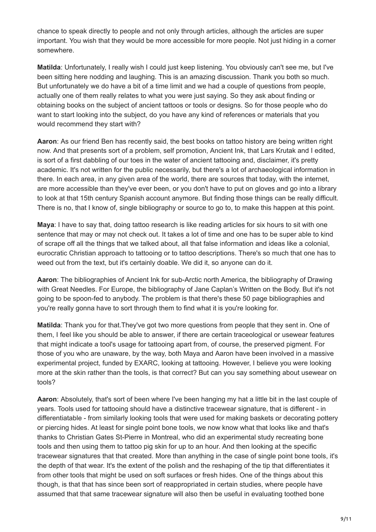chance to speak directly to people and not only through articles, although the articles are super important. You wish that they would be more accessible for more people. Not just hiding in a corner somewhere.

**Matilda**: Unfortunately, I really wish I could just keep listening. You obviously can't see me, but I've been sitting here nodding and laughing. This is an amazing discussion. Thank you both so much. But unfortunately we do have a bit of a time limit and we had a couple of questions from people, actually one of them really relates to what you were just saying. So they ask about finding or obtaining books on the subject of ancient tattoos or tools or designs. So for those people who do want to start looking into the subject, do you have any kind of references or materials that you would recommend they start with?

**Aaron**: As our friend Ben has recently said, the best books on tattoo history are being written right now. And that presents sort of a problem, self promotion, Ancient Ink, that Lars Krutak and I edited, is sort of a first dabbling of our toes in the water of ancient tattooing and, disclaimer, it's pretty academic. It's not written for the public necessarily, but there's a lot of archaeological information in there. In each area, in any given area of the world, there are sources that today, with the internet, are more accessible than they've ever been, or you don't have to put on gloves and go into a library to look at that 15th century Spanish account anymore. But finding those things can be really difficult. There is no, that I know of, single bibliography or source to go to, to make this happen at this point.

**Maya**: I have to say that, doing tattoo research is like reading articles for six hours to sit with one sentence that may or may not check out. It takes a lot of time and one has to be super able to kind of scrape off all the things that we talked about, all that false information and ideas like a colonial, eurocratic Christian approach to tattooing or to tattoo descriptions. There's so much that one has to weed out from the text, but it's certainly doable. We did it, so anyone can do it.

**Aaron**: The bibliographies of Ancient Ink for sub-Arctic north America, the bibliography of Drawing with Great Needles. For Europe, the bibliography of Jane Caplan's Written on the Body. But it's not going to be spoon-fed to anybody. The problem is that there's these 50 page bibliographies and you're really gonna have to sort through them to find what it is you're looking for.

**Matilda**: Thank you for that.They've got two more questions from people that they sent in. One of them, I feel like you should be able to answer, if there are certain traceological or usewear features that might indicate a tool's usage for tattooing apart from, of course, the preserved pigment. For those of you who are unaware, by the way, both Maya and Aaron have been involved in a massive experimental project, funded by EXARC, looking at tattooing. However, I believe you were looking more at the skin rather than the tools, is that correct? But can you say something about usewear on tools?

**Aaron**: Absolutely, that's sort of been where I've been hanging my hat a little bit in the last couple of years. Tools used for tattooing should have a distinctive tracewear signature, that is different - in differentiatable - from similarly looking tools that were used for making baskets or decorating pottery or piercing hides. At least for single point bone tools, we now know what that looks like and that's thanks to Christian Gates St-Pierre in Montreal, who did an experimental study recreating bone tools and then using them to tattoo pig skin for up to an hour. And then looking at the specific tracewear signatures that that created. More than anything in the case of single point bone tools, it's the depth of that wear. It's the extent of the polish and the reshaping of the tip that differentiates it from other tools that might be used on soft surfaces or fresh hides. One of the things about this though, is that that has since been sort of reappropriated in certain studies, where people have assumed that that same tracewear signature will also then be useful in evaluating toothed bone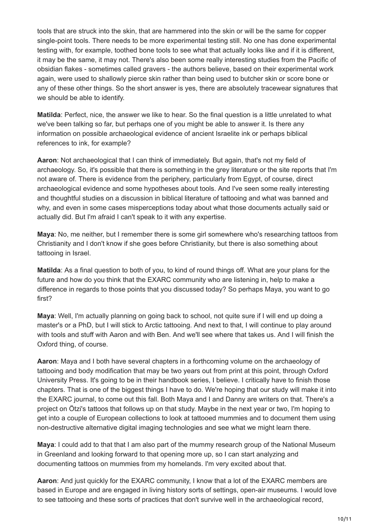tools that are struck into the skin, that are hammered into the skin or will be the same for copper single-point tools. There needs to be more experimental testing still. No one has done experimental testing with, for example, toothed bone tools to see what that actually looks like and if it is different, it may be the same, it may not. There's also been some really interesting studies from the Pacific of obsidian flakes - sometimes called gravers - the authors believe, based on their experimental work again, were used to shallowly pierce skin rather than being used to butcher skin or score bone or any of these other things. So the short answer is yes, there are absolutely tracewear signatures that we should be able to identify.

**Matilda**: Perfect, nice, the answer we like to hear. So the final question is a little unrelated to what we've been talking so far, but perhaps one of you might be able to answer it. Is there any information on possible archaeological evidence of ancient Israelite ink or perhaps biblical references to ink, for example?

**Aaron**: Not archaeological that I can think of immediately. But again, that's not my field of archaeology. So, it's possible that there is something in the grey literature or the site reports that I'm not aware of. There is evidence from the periphery, particularly from Egypt, of course, direct archaeological evidence and some hypotheses about tools. And I've seen some really interesting and thoughtful studies on a discussion in biblical literature of tattooing and what was banned and why, and even in some cases misperceptions today about what those documents actually said or actually did. But I'm afraid I can't speak to it with any expertise.

**Maya**: No, me neither, but I remember there is some girl somewhere who's researching tattoos from Christianity and I don't know if she goes before Christianity, but there is also something about tattooing in Israel.

**Matilda**: As a final question to both of you, to kind of round things off. What are your plans for the future and how do you think that the EXARC community who are listening in, help to make a difference in regards to those points that you discussed today? So perhaps Maya, you want to go first?

**Maya**: Well, I'm actually planning on going back to school, not quite sure if I will end up doing a master's or a PhD, but I will stick to Arctic tattooing. And next to that, I will continue to play around with tools and stuff with Aaron and with Ben. And we'll see where that takes us. And I will finish the Oxford thing, of course.

**Aaron**: Maya and I both have several chapters in a forthcoming volume on the archaeology of tattooing and body modification that may be two years out from print at this point, through Oxford University Press. It's going to be in their handbook series, I believe. I critically have to finish those chapters. That is one of the biggest things I have to do. We're hoping that our study will make it into the EXARC journal, to come out this fall. Both Maya and I and Danny are writers on that. There's a project on Ötzi's tattoos that follows up on that study. Maybe in the next year or two, I'm hoping to get into a couple of European collections to look at tattooed mummies and to document them using non-destructive alternative digital imaging technologies and see what we might learn there.

**Maya**: I could add to that that I am also part of the mummy research group of the National Museum in Greenland and looking forward to that opening more up, so I can start analyzing and documenting tattoos on mummies from my homelands. I'm very excited about that.

**Aaron**: And just quickly for the EXARC community, I know that a lot of the EXARC members are based in Europe and are engaged in living history sorts of settings, open-air museums. I would love to see tattooing and these sorts of practices that don't survive well in the archaeological record,